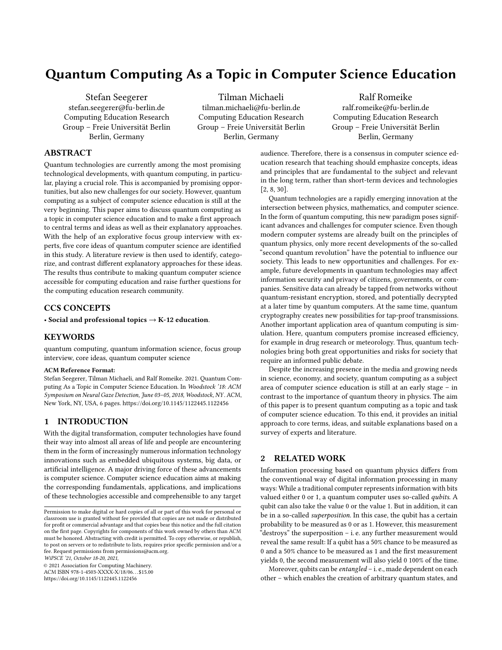# Quantum Computing As a Topic in Computer Science Education

Stefan Seegerer stefan.seegerer@fu-berlin.de Computing Education Research Group – Freie Universität Berlin Berlin, Germany

Tilman Michaeli tilman.michaeli@fu-berlin.de Computing Education Research Group – Freie Universität Berlin Berlin, Germany

[\[2,](#page-5-1) [8,](#page-5-2) [30\]](#page-5-3).

Ralf Romeike ralf.romeike@fu-berlin.de Computing Education Research Group – Freie Universität Berlin Berlin, Germany

audience. Therefore, there is a consensus in computer science education research that teaching should emphasize concepts, ideas and principles that are fundamental to the subject and relevant in the long term, rather than short-term devices and technologies

Quantum technologies are a rapidly emerging innovation at the intersection between physics, mathematics, and computer science. In the form of quantum computing, this new paradigm poses significant advances and challenges for computer science. Even though modern computer systems are already built on the principles of quantum physics, only more recent developments of the so-called "second quantum revolution" have the potential to influence our society. This leads to new opportunities and challenges. For example, future developments in quantum technologies may affect information security and privacy of citizens, governments, or companies. Sensitive data can already be tapped from networks without quantum-resistant encryption, stored, and potentially decrypted at a later time by quantum computers. At the same time, quantum cryptography creates new possibilities for tap-proof transmissions. Another important application area of quantum computing is simulation. Here, quantum computers promise increased efficiency, for example in drug research or meteorology. Thus, quantum tech-

# ABSTRACT

Quantum technologies are currently among the most promising technological developments, with quantum computing, in particular, playing a crucial role. This is accompanied by promising opportunities, but also new challenges for our society. However, quantum computing as a subject of computer science education is still at the very beginning. This paper aims to discuss quantum computing as a topic in computer science education and to make a first approach to central terms and ideas as well as their explanatory approaches. With the help of an explorative focus group interview with experts, five core ideas of quantum computer science are identified in this study. A literature review is then used to identify, categorize, and contrast different explanatory approaches for these ideas. The results thus contribute to making quantum computer science accessible for computing education and raise further questions for the computing education research community.

## CCS CONCEPTS

• Social and professional topics  $\rightarrow$  K-12 education.

#### KEYWORDS

quantum computing, quantum information science, focus group interview, core ideas, quantum computer science

#### ACM Reference Format:

Stefan Seegerer, Tilman Michaeli, and Ralf Romeike. 2021. Quantum Computing As a Topic in Computer Science Education. In Woodstock '18: ACM Symposium on Neural Gaze Detection, June 03–05, 2018, Woodstock, NY . ACM, New York, NY, USA, [6](#page-5-0) pages.<https://doi.org/10.1145/1122445.1122456>

## 1 INTRODUCTION

With the digital transformation, computer technologies have found their way into almost all areas of life and people are encountering them in the form of increasingly numerous information technology innovations such as embedded ubiquitous systems, big data, or artificial intelligence. A major driving force of these advancements is computer science. Computer science education aims at making the corresponding fundamentals, applications, and implications of these technologies accessible and comprehensible to any target

WiPSCE '21, October 18-20, 2021,

© 2021 Association for Computing Machinery. ACM ISBN 978-1-4503-XXXX-X/18/06. . . \$15.00

<https://doi.org/10.1145/1122445.1122456>

nologies bring both great opportunities and risks for society that require an informed public debate. Despite the increasing presence in the media and growing needs in science, economy, and society, quantum computing as a subject area of computer science education is still at an early stage – in contrast to the importance of quantum theory in physics. The aim of this paper is to present quantum computing as a topic and task of computer science education. To this end, it provides an initial approach to core terms, ideas, and suitable explanations based on a survey of experts and literature.

#### 2 RELATED WORK

Information processing based on quantum physics differs from the conventional way of digital information processing in many ways: While a traditional computer represents information with bits valued either 0 or 1, a quantum computer uses so-called qubits. A qubit can also take the value 0 or the value 1. But in addition, it can be in a so-called superposition. In this case, the qubit has a certain probability to be measured as 0 or as 1. However, this measurement "destroys" the superposition – i. e. any further measurement would reveal the same result: If a qubit has a 50% chance to be measured as 0 and a 50% chance to be measured as 1 and the first measurement yields 0, the second measurement will also yield 0 100% of the time.

Moreover, qubits can be entangled – i. e., made dependent on each other – which enables the creation of arbitrary quantum states, and

Permission to make digital or hard copies of all or part of this work for personal or classroom use is granted without fee provided that copies are not made or distributed for profit or commercial advantage and that copies bear this notice and the full citation on the first page. Copyrights for components of this work owned by others than ACM must be honored. Abstracting with credit is permitted. To copy otherwise, or republish, to post on servers or to redistribute to lists, requires prior specific permission and/or a fee. Request permissions from permissions@acm.org.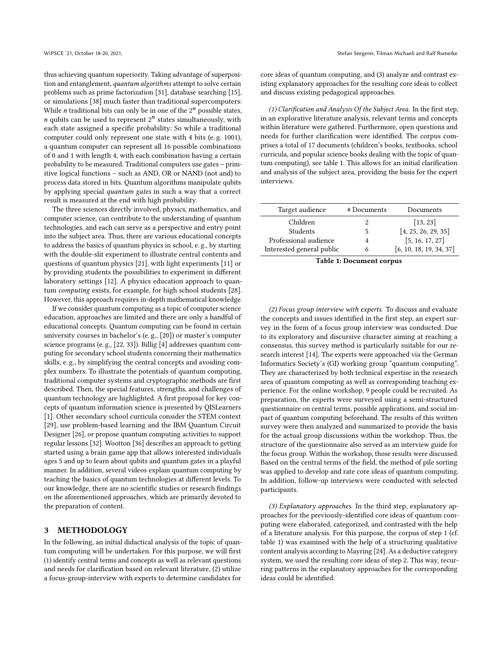thus achieving quantum superiority. Taking advantage of superposition and entanglement, quantum algorithms attempt to solve certain problems such as prime factorization [\[31\]](#page-5-4), database searching [\[15\]](#page-5-5), or simulations [\[38\]](#page-5-6) much faster than traditional supercomputers: While *n* traditional bits can only be in one of the  $2^n$  possible states, *n* qubits can be used to represent  $2^n$  states simultaneously, with each state assigned a specific probability: So while a traditional computer could only represent one state with 4 bits (e. g. 1001), a quantum computer can represent all 16 possible combinations of 0 and 1 with length 4, with each combination having a certain probability to be measured. Traditional computers use gates – primitive logical functions – such as AND, OR or NAND (not and) to process data stored in bits. Quantum algorithms manipulate qubits by applying special quantum gates in such a way that a correct result is measured at the end with high probability.

The three sciences directly involved, physics, mathematics, and computer science, can contribute to the understanding of quantum technologies, and each can serve as a perspective and entry point into the subject area. Thus, there are various educational concepts to address the basics of quantum physics in school, e. g., by starting with the double-slit experiment to illustrate central contents and questions of quantum physics [\[21\]](#page-5-7), with light experiments [\[11\]](#page-5-8) or by providing students the possibilities to experiment in different laboratory settings [\[12\]](#page-5-9). A physics education approach to quantum computing exists, for example, for high school students [\[28\]](#page-5-10). However, this approach requires in-depth mathematical knowledge.

If we consider quantum computing as a topic of computer science education, approaches are limited and there are only a handful of educational concepts. Quantum computing can be found in certain university courses in bachelor's (e. g., [\[20\]](#page-5-11)) or master's computer science programs (e. g., [\[22,](#page-5-12) [33\]](#page-5-13)). Billig [\[4\]](#page-5-14) addresses quantum computing for secondary school students concerning their mathematics skills, e. g., by simplifying the central concepts and avoiding complex numbers. To illustrate the potentials of quantum computing, traditional computer systems and cryptographic methods are first described. Then, the special features, strengths, and challenges of quantum technology are highlighted. A first proposal for key concepts of quantum information science is presented by QISLearners [\[1\]](#page-5-15). Other secondary school curricula consider the STEM context [\[29\]](#page-5-16), use problem-based learning and the IBM Quantum Circuit Designer [\[26\]](#page-5-17), or propose quantum computing activities to support regular lessons [\[32\]](#page-5-18). Wootton [\[36\]](#page-5-19) describes an approach to getting started using a brain game app that allows interested individuals ages 5 and up to learn about qubits and quantum gates in a playful manner. In addition, several videos explain quantum computing by teaching the basics of quantum technologies at different levels. To our knowledge, there are no scientific studies or research findings on the aforementioned approaches, which are primarily devoted to the preparation of content.

## 3 METHODOLOGY

In the following, an initial didactical analysis of the topic of quantum computing will be undertaken. For this purpose, we will first (1) identify central terms and concepts as well as relevant questions and needs for clarification based on relevant literature, (2) utilize a focus-group-interview with experts to determine candidates for

core ideas of quantum computing, and (3) analyze and contrast existing explanatory approaches for the resulting core ideas to collect and discuss existing pedagogical approaches.

(1) Clarification and Analysis Of the Subject Area. In the first step, in an explorative literature analysis, relevant terms and concepts within literature were gathered. Furthermore, open questions and needs for further clarification were identified. The corpus comprises a total of 17 documents (children's books, textbooks, school curricula, and popular science books dealing with the topic of quantum computing), see table [1.](#page-1-0) This allows for an initial clarification and analysis of the subject area, providing the basis for the expert interviews.

<span id="page-1-0"></span>

| Target audience           | # Documents | Documents               |
|---------------------------|-------------|-------------------------|
| Children                  | 2           | [13, 23]                |
| Students                  | 5           | [4, 25, 26, 29, 35]     |
| Professional audience     | 4           | [5, 16, 17, 27]         |
| Interested general public | 6           | [6, 10, 18, 19, 34, 37] |

Table 1: Document corpus

(2) Focus group interview with experts. To discuss and evaluate the concepts and issues identified in the first step, an expert survey in the form of a focus group interview was conducted. Due to its exploratory and discursive character aiming at reaching a consensus, this survey method is particularly suitable for our research interest [\[14\]](#page-5-34). The experts were approached via the German Informatics Society's (GI) working group "quantum computing". They are characterized by both technical expertise in the research area of quantum computing as well as corresponding teaching experience. For the online workshop, 9 people could be recruited. As preparation, the experts were surveyed using a semi-structured questionnaire on central terms, possible applications, and social impact of quantum computing beforehand. The results of this written survey were then analyzed and summarized to provide the basis for the actual group discussions within the workshop. Thus, the structure of the questionnaire also served as an interview guide for the focus group. Within the workshop, those results were discussed. Based on the central terms of the field, the method of pile sorting was applied to develop and rate core ideas of quantum computing. In addition, follow-up interviews were conducted with selected participants.

(3) Explanatory approaches. In the third step, explanatory approaches for the previously-identified core ideas of quantum computing were elaborated, categorized, and contrasted with the help of a literature analysis. For this purpose, the corpus of step 1 (cf. table [1\)](#page-1-0) was examined with the help of a structuring qualitative content analysis according to Mayring [\[24\]](#page-5-35). As a deductive category system, we used the resulting core ideas of step 2. This way, recurring patterns in the explanatory approaches for the corresponding ideas could be identified.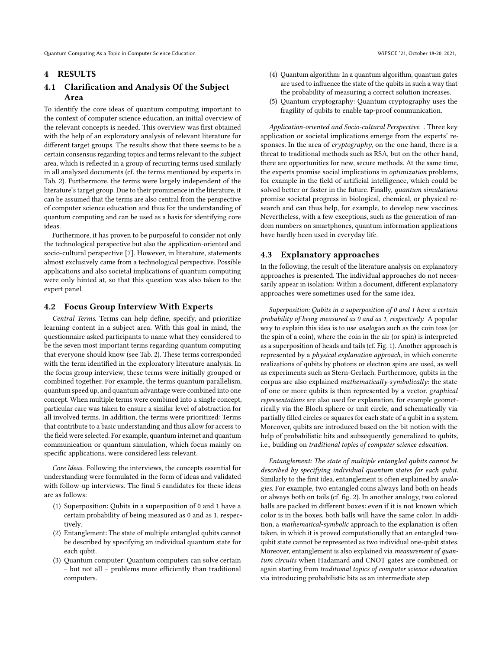#### 4 RESULTS

# 4.1 Clarification and Analysis Of the Subject Area

To identify the core ideas of quantum computing important to the context of computer science education, an initial overview of the relevant concepts is needed. This overview was first obtained with the help of an exploratory analysis of relevant literature for different target groups. The results show that there seems to be a certain consensus regarding topics and terms relevant to the subject area, which is reflected in a group of recurring terms used similarly in all analyzed documents (cf. the terms mentioned by experts in Tab. [2\)](#page-3-0). Furthermore, the terms were largely independent of the literature's target group. Due to their prominence in the literature, it can be assumed that the terms are also central from the perspective of computer science education and thus for the understanding of quantum computing and can be used as a basis for identifying core ideas.

Furthermore, it has proven to be purposeful to consider not only the technological perspective but also the application-oriented and socio-cultural perspective [\[7\]](#page-5-36). However, in literature, statements almost exclusively came from a technological perspective. Possible applications and also societal implications of quantum computing were only hinted at, so that this question was also taken to the expert panel.

## 4.2 Focus Group Interview With Experts

Central Terms. Terms can help define, specify, and prioritize learning content in a subject area. With this goal in mind, the questionnaire asked participants to name what they considered to be the seven most important terms regarding quantum computing that everyone should know (see Tab. [2\)](#page-3-0). These terms corresponded with the term identified in the exploratory literature analysis. In the focus group interview, these terms were initially grouped or combined together. For example, the terms quantum parallelism, quantum speed up, and quantum advantage were combined into one concept. When multiple terms were combined into a single concept, particular care was taken to ensure a similar level of abstraction for all involved terms. In addition, the terms were prioritized: Terms that contribute to a basic understanding and thus allow for access to the field were selected. For example, quantum internet and quantum communication or quantum simulation, which focus mainly on specific applications, were considered less relevant.

Core Ideas. Following the interviews, the concepts essential for understanding were formulated in the form of ideas and validated with follow-up interviews. The final 5 candidates for these ideas are as follows:

- (1) Superposition: Qubits in a superposition of 0 and 1 have a certain probability of being measured as 0 and as 1, respectively.
- (2) Entanglement: The state of multiple entangled qubits cannot be described by specifying an individual quantum state for each qubit.
- (3) Quantum computer: Quantum computers can solve certain – but not all – problems more efficiently than traditional computers.
- (4) Quantum algorithm: In a quantum algorithm, quantum gates are used to influence the state of the qubits in such a way that the probability of measuring a correct solution increases.
- (5) Quantum cryptography: Quantum cryptography uses the fragility of qubits to enable tap-proof communication.

Application-oriented and Socio-cultural Perspective. . Three key application or societal implications emerge from the experts' responses. In the area of *cryptography*, on the one hand, there is a threat to traditional methods such as RSA, but on the other hand, there are opportunities for new, secure methods. At the same time, the experts promise social implications in optimization problems, for example in the field of artificial intelligence, which could be solved better or faster in the future. Finally, quantum simulations promise societal progress in biological, chemical, or physical research and can thus help, for example, to develop new vaccines. Nevertheless, with a few exceptions, such as the generation of random numbers on smartphones, quantum information applications have hardly been used in everyday life.

## 4.3 Explanatory approaches

In the following, the result of the literature analysis on explanatory approaches is presented. The individual approaches do not necessarily appear in isolation: Within a document, different explanatory approaches were sometimes used for the same idea.

Superposition: Qubits in a superposition of 0 and 1 have a certain probability of being measured as 0 and as 1, respectively. A popular way to explain this idea is to use analogies such as the coin toss (or the spin of a coin), where the coin in the air (or spin) is interpreted as a superposition of heads and tails (cf. Fig. [1\)](#page-3-1). Another approach is represented by a physical explanation approach, in which concrete realizations of qubits by photons or electron spins are used, as well as experiments such as Stern-Gerlach. Furthermore, qubits in the corpus are also explained mathematically-symbolically: the state of one or more qubits is then represented by a vector. graphical representations are also used for explanation, for example geometrically via the Bloch sphere or unit circle, and schematically via partially filled circles or squares for each state of a qubit in a system. Moreover, qubits are introduced based on the bit notion with the help of probabilistic bits and subsequently generalized to qubits, i.e., building on traditional topics of computer science education.

Entanglement: The state of multiple entangled qubits cannot be described by specifying individual quantum states for each qubit. Similarly to the first idea, entanglement is often explained by analogies. For example, two entangled coins always land both on heads or always both on tails (cf. fig. [2\)](#page-3-2). In another analogy, two colored balls are packed in different boxes: even if it is not known which color is in the boxes, both balls will have the same color. In addition, a mathematical-symbolic approach to the explanation is often taken, in which it is proved computationally that an entangled twoqubit state cannot be represented as two individual one-qubit states. Moreover, entanglement is also explained via measurement of quantum circuits when Hadamard and CNOT gates are combined, or again starting from traditional topics of computer science education via introducing probabilistic bits as an intermediate step.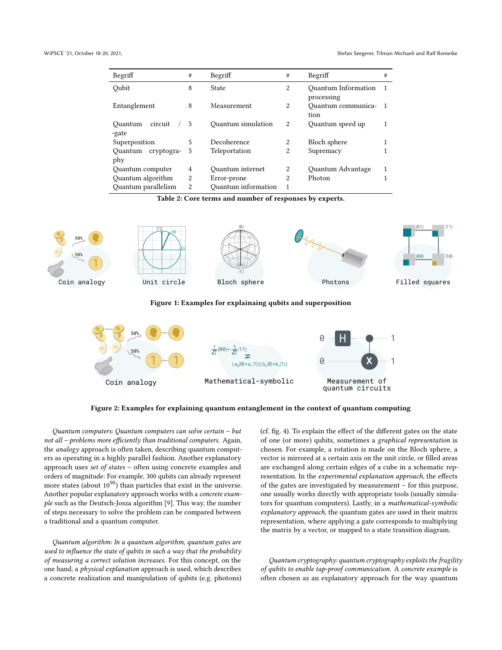<span id="page-3-0"></span>

| Begriff             | # | Begriff                    | #              | Begriff                                  | # |
|---------------------|---|----------------------------|----------------|------------------------------------------|---|
| Oubit               | 8 | <b>State</b>               | 2              | <b>Ouantum Information</b><br>processing |   |
| Entanglement        | 8 | Measurement                | 2              | Quantum communica-<br>tion               |   |
| circuit<br>Ouantum  | 5 | <b>Ouantum</b> simulation  | 2              | Quantum speed up                         |   |
| -gate               |   |                            |                |                                          |   |
| Superposition       | 5 | Decoherence                | $\overline{2}$ | Bloch sphere                             |   |
| Quantum cryptogra-  | 5 | Teleportation              | 2              | Supremacy                                |   |
| phy                 |   |                            |                |                                          |   |
| Quantum computer    | 4 | Quantum internet           | 2              | Quantum Advantage                        |   |
| Quantum algorithm   | 2 | Error-prone                | 2              | Photon                                   |   |
| Quantum parallelism | 2 | <b>Ouantum</b> information |                |                                          |   |
|                     |   |                            |                |                                          |   |

Table 2: Core terms and number of responses by experts.

<span id="page-3-1"></span>

#### Figure 1: Examples for explainaing qubits and superposition

<span id="page-3-2"></span>

Figure 2: Examples for explaining quantum entanglement in the context of quantum computing

Quantum computers: Quantum computers can solve certain – but not all – problems more efficiently than traditional computers. Again, the analogy approach is often taken, describing quantum computers as operating in a highly parallel fashion. Another explanatory approach uses set of states – often using concrete examples and orders of magnitude: For example, 300 qubits can already represent more states (about  $10^{90}$ ) than particles that exist in the universe. Another popular explanatory approach works with a concrete example such as the Deutsch-Josza algorithm [\[9\]](#page-5-37). This way, the number of steps necessary to solve the problem can be compared between a traditional and a quantum computer.

Quantum algorithm: In a quantum algorithm, quantum gates are used to influence the state of qubits in such a way that the probability of measuring a correct solution increases. For this concept, on the one hand, a physical explanation approach is used, which describes a concrete realization and manipulation of qubits (e.g. photons)

(cf. fig. [4\)](#page-4-0). To explain the effect of the different gates on the state of one (or more) qubits, sometimes a graphical representation is chosen. For example, a rotation is made on the Bloch sphere, a vector is mirrored at a certain axis on the unit circle, or filled areas are exchanged along certain edges of a cube in a schematic representation. In the experimental explanation approach, the effects of the gates are investigated by measurement – for this purpose, one usually works directly with appropriate tools (usually simulators for quantum computers). Lastly, in a mathematical-symbolic explanatory approach, the quantum gates are used in their matrix representation, where applying a gate corresponds to multiplying the matrix by a vector, or mapped to a state transition diagram.

Quantum cryptography: quantum cryptography exploits the fragility of qubits to enable tap-proof communication. A concrete example is often chosen as an explanatory approach for the way quantum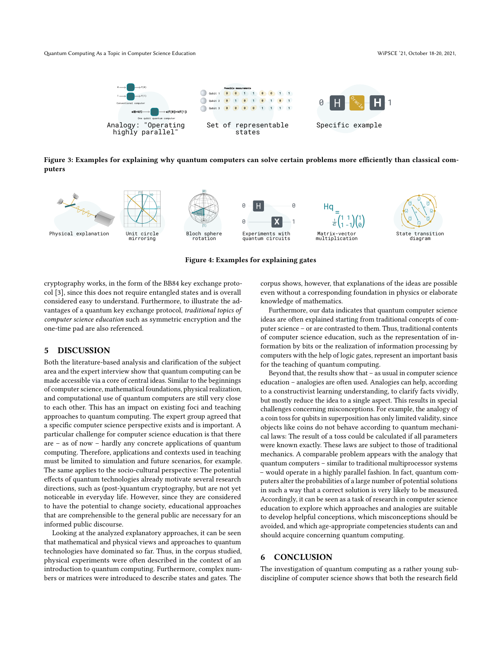Quantum Computing As a Topic in Computer Science Education WiPSCE '21, October 18-20, 2021,



Figure 3: Examples for explaining why quantum computers can solve certain problems more efficiently than classical computers

<span id="page-4-0"></span>

Figure 4: Examples for explaining gates

cryptography works, in the form of the BB84 key exchange protocol [\[3\]](#page-5-38), since this does not require entangled states and is overall considered easy to understand. Furthermore, to illustrate the advantages of a quantum key exchange protocol, traditional topics of computer science education such as symmetric encryption and the one-time pad are also referenced.

## 5 DISCUSSION

Both the literature-based analysis and clarification of the subject area and the expert interview show that quantum computing can be made accessible via a core of central ideas. Similar to the beginnings of computer science, mathematical foundations, physical realization, and computational use of quantum computers are still very close to each other. This has an impact on existing foci and teaching approaches to quantum computing. The expert group agreed that a specific computer science perspective exists and is important. A particular challenge for computer science education is that there are – as of now – hardly any concrete applications of quantum computing. Therefore, applications and contexts used in teaching must be limited to simulation and future scenarios, for example. The same applies to the socio-cultural perspective: The potential effects of quantum technologies already motivate several research directions, such as (post-)quantum cryptography, but are not yet noticeable in everyday life. However, since they are considered to have the potential to change society, educational approaches that are comprehensible to the general public are necessary for an informed public discourse.

Looking at the analyzed explanatory approaches, it can be seen that mathematical and physical views and approaches to quantum technologies have dominated so far. Thus, in the corpus studied, physical experiments were often described in the context of an introduction to quantum computing. Furthermore, complex numbers or matrices were introduced to describe states and gates. The

corpus shows, however, that explanations of the ideas are possible even without a corresponding foundation in physics or elaborate knowledge of mathematics.

Furthermore, our data indicates that quantum computer science ideas are often explained starting from traditional concepts of computer science – or are contrasted to them. Thus, traditional contents of computer science education, such as the representation of information by bits or the realization of information processing by computers with the help of logic gates, represent an important basis for the teaching of quantum computing.

Beyond that, the results show that – as usual in computer science education – analogies are often used. Analogies can help, according to a constructivist learning understanding, to clarify facts vividly, but mostly reduce the idea to a single aspect. This results in special challenges concerning misconceptions. For example, the analogy of a coin toss for qubits in superposition has only limited validity, since objects like coins do not behave according to quantum mechanical laws: The result of a toss could be calculated if all parameters were known exactly. These laws are subject to those of traditional mechanics. A comparable problem appears with the analogy that quantum computers – similar to traditional multiprocessor systems – would operate in a highly parallel fashion. In fact, quantum computers alter the probabilities of a large number of potential solutions in such a way that a correct solution is very likely to be measured. Accordingly, it can be seen as a task of research in computer science education to explore which approaches and analogies are suitable to develop helpful conceptions, which misconceptions should be avoided, and which age-appropriate competencies students can and should acquire concerning quantum computing.

## 6 CONCLUSION

The investigation of quantum computing as a rather young subdiscipline of computer science shows that both the research field